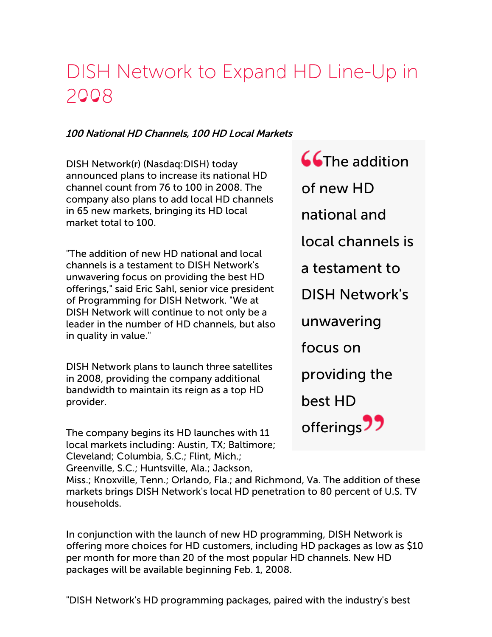## DISH Network to Expand HD Line-Up in 2008

## 100 National HD Channels, 100 HD Local Markets

DISH Network(r) (Nasdaq:DISH) today announced plans to increase its national HD channel count from 76 to 100 in 2008. The company also plans to add local HD channels in 65 new markets, bringing its HD local market total to 100.

"The addition of new HD national and local channels is a testament to DISH Network's unwavering focus on providing the best HD offerings," said Eric Sahl, senior vice president of Programming for DISH Network. "We at DISH Network will continue to not only be a leader in the number of HD channels, but also in quality in value."

DISH Network plans to launch three satellites in 2008, providing the company additional bandwidth to maintain its reign as a top HD provider.

The company begins its HD launches with 11 local markets including: Austin, TX; Baltimore; Cleveland; Columbia, S.C.; Flint, Mich.; Greenville, S.C.; Huntsville, Ala.; Jackson,

**CG**The addition of new HD national and local channels is a testament to DISH Network's unwavering focus on providing the best HD offerings<sup>77</sup>

Miss.; Knoxville, Tenn.; Orlando, Fla.; and Richmond, Va. The addition of these markets brings DISH Network's local HD penetration to 80 percent of U.S. TV households.

In conjunction with the launch of new HD programming, DISH Network is offering more choices for HD customers, including HD packages as low as \$10 per month for more than 20 of the most popular HD channels. New HD packages will be available beginning Feb. 1, 2008.